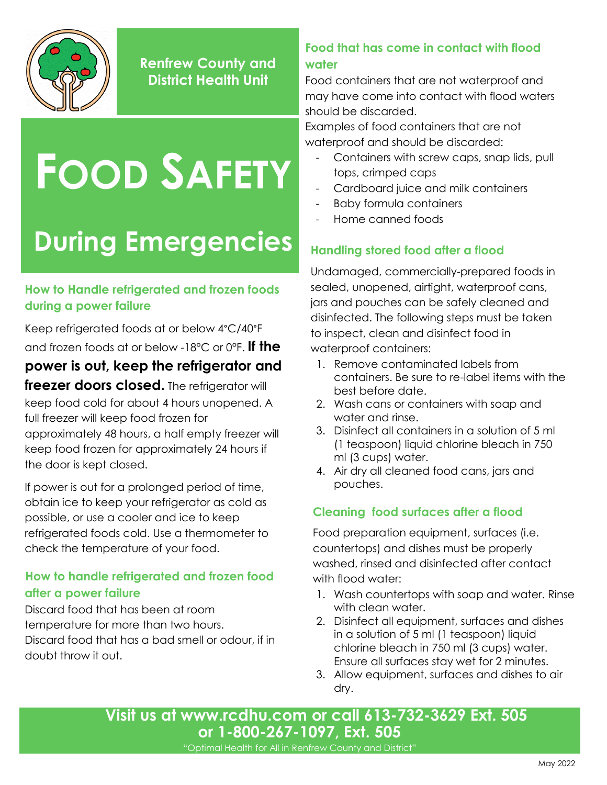

**Renfrew County and District Health Unit**

# **FOOD SAFETY**

## **During Emergencies**

#### **How to Handle refrigerated and frozen foods during a power failure**

Keep refrigerated foods at or below 4°C/40°F and frozen foods at or below -18°C or 0°F. **If the** 

### **power is out, keep the refrigerator and**

**freezer doors closed.** The refrigerator will keep food cold for about 4 hours unopened. A full freezer will keep food frozen for approximately 48 hours, a half empty freezer will keep food frozen for approximately 24 hours if the door is kept closed.

If power is out for a prolonged period of time, obtain ice to keep your refrigerator as cold as possible, or use a cooler and ice to keep refrigerated foods cold. Use a thermometer to check the temperature of your food.

#### **How to handle refrigerated and frozen food after a power failure**

Discard food that has been at room temperature for more than two hours. Discard food that has a bad smell or odour, if in doubt throw it out.

#### **Food that has come in contact with flood water**

Food containers that are not waterproof and may have come into contact with flood waters should be discarded.

Examples of food containers that are not waterproof and should be discarded:

- Containers with screw caps, snap lids, pull tops, crimped caps
- Cardboard juice and milk containers
- Baby formula containers
- Home canned foods

#### **Handling stored food after a flood**

Undamaged, commercially-prepared foods in sealed, unopened, airtight, waterproof cans, jars and pouches can be safely cleaned and disinfected. The following steps must be taken to inspect, clean and disinfect food in waterproof containers:

- 1. Remove contaminated labels from containers. Be sure to re-label items with the best before date.
- 2. Wash cans or containers with soap and water and rinse.
- 3. Disinfect all containers in a solution of 5 ml (1 teaspoon) liquid chlorine bleach in 750 ml (3 cups) water.
- 4. Air dry all cleaned food cans, jars and pouches.

#### **Cleaning food surfaces after a flood**

Food preparation equipment, surfaces (i.e. countertops) and dishes must be properly washed, rinsed and disinfected after contact with flood water:

- 1. Wash countertops with soap and water. Rinse with clean water.
- 2. Disinfect all equipment, surfaces and dishes in a solution of 5 ml (1 teaspoon) liquid chlorine bleach in 750 ml (3 cups) water. Ensure all surfaces stay wet for 2 minutes.
- 3. Allow equipment, surfaces and dishes to air dry.

**Visit us at [www.rcdhu.com](http://www.rcdhu.com/) or call 613-732-3629 Ext. 505 or 1-800-267-1097, Ext. 505**

"Optimal Health for All in Renfrew County and District"